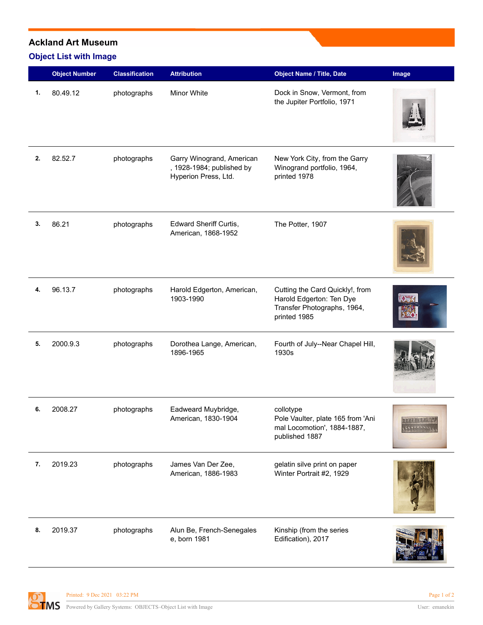## **Ackland Art Museum**

## **Object List with Image**

|    | <b>Object Number</b> | <b>Classification</b> | <b>Attribution</b>                                                             | <b>Object Name / Title, Date</b>                                                                           | Image          |
|----|----------------------|-----------------------|--------------------------------------------------------------------------------|------------------------------------------------------------------------------------------------------------|----------------|
| 1. | 80.49.12             | photographs           | <b>Minor White</b>                                                             | Dock in Snow, Vermont, from<br>the Jupiter Portfolio, 1971                                                 |                |
| 2. | 82.52.7              | photographs           | Garry Winogrand, American<br>, 1928-1984; published by<br>Hyperion Press, Ltd. | New York City, from the Garry<br>Winogrand portfolio, 1964,<br>printed 1978                                |                |
| 3. | 86.21                | photographs           | Edward Sheriff Curtis,<br>American, 1868-1952                                  | The Potter, 1907                                                                                           |                |
| 4. | 96.13.7              | photographs           | Harold Edgerton, American,<br>1903-1990                                        | Cutting the Card Quickly!, from<br>Harold Edgerton: Ten Dye<br>Transfer Photographs, 1964,<br>printed 1985 |                |
| 5. | 2000.9.3             | photographs           | Dorothea Lange, American,<br>1896-1965                                         | Fourth of July--Near Chapel Hill,<br>1930s                                                                 |                |
| 6. | 2008.27              | photographs           | Eadweard Muybridge,<br>American, 1830-1904                                     | collotype<br>Pole Vaulter, plate 165 from 'Ani<br>mal Locomotion', 1884-1887,<br>published 1887            | err i Firitina |
| 7. | 2019.23              | photographs           | James Van Der Zee,<br>American, 1886-1983                                      | gelatin silve print on paper<br>Winter Portrait #2, 1929                                                   |                |
| 8. | 2019.37              | photographs           | Alun Be, French-Senegales<br>e, born 1981                                      | Kinship (from the series<br>Edification), 2017                                                             |                |